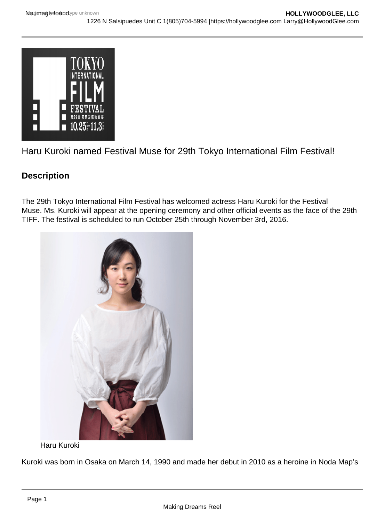

Haru Kuroki named Festival Muse for 29th Tokyo International Film Festival!

## **Description**

The 29th Tokyo International Film Festival has welcomed actress Haru Kuroki for the Festival Muse. Ms. Kuroki will appear at the opening ceremony and other official events as the face of the 29th TIFF. The festival is scheduled to run October 25th through November 3rd, 2016.



Haru Kuroki

Kuroki was born in Osaka on March 14, 1990 and made her debut in 2010 as a heroine in Noda Map's